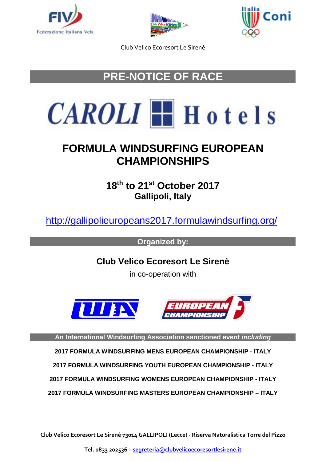





# **PRE-NOTICE OF RACE**



# **FORMULA WINDSURFING EUROPEAN CHAMPIONSHIPS**

**18th to 21st October 2017 Gallipoli, Italy**

<http://gallipolieuropeans2017.formulawindsurfing.org/>

**Organized by:**

**Club Velico Ecoresort Le Sirenè**

in co-operation with





**An International Windsurfing Association sanctioned event** *including*

**2017 FORMULA WINDSURFING MENS EUROPEAN CHAMPIONSHIP - ITALY**

**2017 FORMULA WINDSURFING YOUTH EUROPEAN CHAMPIONSHIP - ITALY**

**2017 FORMULA WINDSURFING WOMENS EUROPEAN CHAMPIONSHIP - ITALY**

**2017 FORMULA WINDSURFING MASTERS EUROPEAN CHAMPIONSHIP – ITALY**

**Club Velico Ecoresort Le Sirenè 73014 GALLIPOLI (Lecce) - Riserva Naturalistica Torre del Pizzo**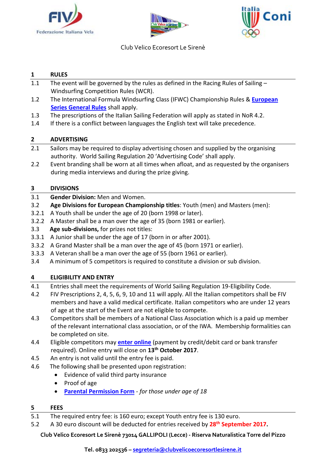





## **1 RULES**

- 1.1 The event will be governed by the rules as defined in the Racing Rules of Sailing -Windsurfing Competition Rules (WCR).
- 1.2 The International Formula Windsurfing Class (IFWC) Championship Rules & **[European](http://internationalwindsurfing.com/userfiles/documents/FWEC_General_Rules.pdf)  [Series General Rules](http://internationalwindsurfing.com/userfiles/documents/FWEC_General_Rules.pdf)** shall apply.
- 1.3 The prescriptions of the Italian Sailing Federation will apply as stated in NoR 4.2.
- 1.4 If there is a conflict between languages the English text will take precedence.

# **2 ADVERTISING**

- 2.1 Sailors may be required to display advertising chosen and supplied by the organising authority. World Sailing Regulation 20 'Advertising Code' shall apply.
- 2.2 Event branding shall be worn at all times when afloat, and as requested by the organisers during media interviews and during the prize giving.

# **3 DIVISIONS**

- 3.1 **Gender Division:** Men and Women.
- 3.2 **Age Divisions for European Championship titles**: Youth (men) and Masters (men):
- 3.2.1 A Youth shall be under the age of 20 (born 1998 or later).
- 3.2.2 A Master shall be a man over the age of 35 (born 1981 or earlier).
- 3.3 **Age sub-divisions,** for prizes not titles:
- 3.3.1 A Junior shall be under the age of 17 (born in or after 2001).
- 3.3.2 A Grand Master shall be a man over the age of 45 (born 1971 or earlier).
- 3.3.3 A Veteran shall be a man over the age of 55 (born 1961 or earlier).
- 3.4 A minimum of 5 competitors is required to constitute a division or sub division.

## **4 ELIGIBILITY AND ENTRY**

- 4.1 Entries shall meet the requirements of World Sailing Regulation 19-Eligibility Code.
- 4.2 FIV Prescriptions 2, 4, 5, 6, 9, 10 and 11 will apply. All the Italian competitors shall be FIV members and have a valid medical certificate. Italian competitors who are under 12 years of age at the start of the Event are not eligible to compete.
- 4.3 Competitors shall be members of a National Class Association which is a paid up member of the relevant international class association, or of the IWA. Membership formalities can be completed on site.
- 4.4 Eligible competitors may **enter [online](https://registration.internationalwindsurfing.com/en/events/register/id/138)** (payment by credit/debit card or bank transfer required). Online entry will close on **13th October 2017**.
- 4.5 An entry is not valid until the entry fee is paid.
- 4.6 The following shall be presented upon registration:
	- Evidence of valid third party insurance
	- Proof of age
	- **[Parental Permission Form](http://internationalwindsurfing.com/userfiles/documents/Parental_Permission_Form_FW_Europeans_2017_Italy.pdf)** *for those under age of 18*

## **5 FEES**

- 5.1 The required entry fee: is 160 euro; except Youth entry fee is 130 euro.
- 5.2 A 30 euro discount will be deducted for entries received by **28th September 2017.**

**Club Velico Ecoresort Le Sirenè 73014 GALLIPOLI (Lecce) - Riserva Naturalistica Torre del Pizzo**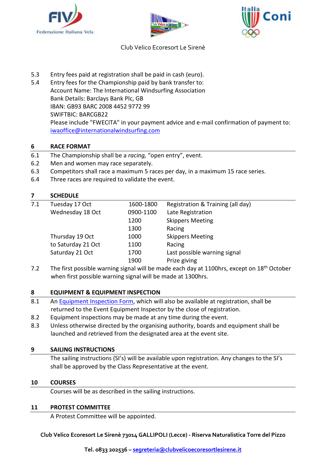





- 5.3 Entry fees paid at registration shall be paid in cash (euro).
- 5.4 Entry fees for the Championship paid by bank transfer to: Account Name: The International Windsurfing Association Bank Details: Barclays Bank Plc, GB IBAN: GB93 BARC 2008 4452 9772 99 SWIFTBIC: BARCGB22 Please include "FWECITA" in your payment advice and e-mail confirmation of payment to: [iwaoffice@internationalwindsurfing.com](mailto:iwaoffice@internationalwindsurfing.com)

# **6 RACE FORMAT**

- 6.1 The Championship shall be a *racing,* "open entry", event.
- 6.2 Men and women may race separately.
- 6.3 Competitors shall race a maximum 5 races per day, in a maximum 15 race series.
- 6.4 Three races are required to validate the event.

## **7 SCHEDULE**

| 7.1 | Tuesday 17 Oct     | 1600-1800 | Registration & Training (all day) |
|-----|--------------------|-----------|-----------------------------------|
|     | Wednesday 18 Oct   | 0900-1100 | Late Registration                 |
|     |                    | 1200      | <b>Skippers Meeting</b>           |
|     |                    | 1300      | Racing                            |
|     | Thursday 19 Oct    | 1000      | <b>Skippers Meeting</b>           |
|     | to Saturday 21 Oct | 1100      | Racing                            |
|     | Saturday 21 Oct    | 1700      | Last possible warning signal      |
|     |                    | 1900      | Prize giving                      |
|     |                    |           |                                   |

7.2 The first possible warning signal will be made each day at 1100hrs, except on  $18<sup>th</sup>$  October when first possible warning signal will be made at 1300hrs.

## **8 EQUIPMENT & EQUIPMENT INSPECTION**

- 8.1 An [Equipment Inspection Form,](https://form.jotform.com/51723077194962) which will also be available at registration, shall be returned to the Event Equipment Inspector by the close of registration.
- 8.2 Equipment inspections may be made at any time during the event.
- 8.3 Unless otherwise directed by the organising authority, boards and equipment shall be launched and retrieved from the designated area at the event site.

#### **9 SAILING INSTRUCTIONS**

The sailing instructions (SI's) will be available upon registration. Any changes to the SI's shall be approved by the Class Representative at the event.

#### **10 COURSES**

Courses will be as described in the sailing instructions.

#### **11 PROTEST COMMITTEE**

A Protest Committee will be appointed.

**Club Velico Ecoresort Le Sirenè 73014 GALLIPOLI (Lecce) - Riserva Naturalistica Torre del Pizzo**

**Tel. 0833 202536 – [segreteria@clubvelicoecoresortlesirene.it](mailto:segreteria@clubvelicoecoresortlesirene.it)**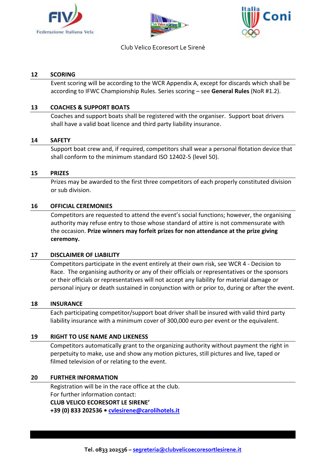





#### **12 SCORING**

Event scoring will be according to the WCR Appendix A, except for discards which shall be according to IFWC Championship Rules. Series scoring – see **General Rules** (NoR #1.2).

## **13 COACHES & SUPPORT BOATS**

Coaches and support boats shall be registered with the organiser. Support boat drivers shall have a valid boat licence and third party liability insurance.

#### **14 SAFETY**

Support boat crew and, if required, competitors shall wear a personal flotation device that shall conform to the minimum standard ISO 12402-5 (level 50).

#### **15 PRIZES**

Prizes may be awarded to the first three competitors of each properly constituted division or sub division.

#### **16 OFFICIAL CEREMONIES**

Competitors are requested to attend the event's social functions; however, the organising authority may refuse entry to those whose standard of attire is not commensurate with the occasion. **Prize winners may forfeit prizes for non attendance at the prize giving ceremony.**

#### **17 DISCLAIMER OF LIABILITY**

Competitors participate in the event entirely at their own risk, see WCR 4 - Decision to Race. The organising authority or any of their officials or representatives or the sponsors or their officials or representatives will not accept any liability for material damage or personal injury or death sustained in conjunction with or prior to, during or after the event.

#### **18 INSURANCE**

Each participating competitor/support boat driver shall be insured with valid third party liability insurance with a minimum cover of 300,000 euro per event or the equivalent.

#### **19 RIGHT TO USE NAME AND LIKENESS**

Competitors automatically grant to the organizing authority without payment the right in perpetuity to make, use and show any motion pictures, still pictures and live, taped or filmed television of or relating to the event.

#### **20 FURTHER INFORMATION**

Registration will be in the race office at the club. For further information contact: **CLUB VELICO ECORESORT LE SIRENE' +39 (0) 833 202536 • [cvlesirene@carolihotels.it](mailto:cvlesirene@carolihotels.it)**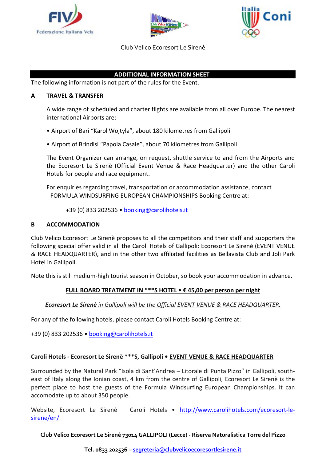





## **ADDITIONAL INFORMATION SHEET**

The following information is not part of the rules for the Event.

#### **A TRAVEL & TRANSFER**

A wide range of scheduled and charter flights are available from all over Europe. The nearest international Airports are:

- Airport of Bari "Karol Wojtyla", about 180 kilometres from Gallipoli
- Airport of Brindisi "Papola Casale", about 70 kilometres from Gallipoli

The Event Organizer can arrange, on request, shuttle service to and from the Airports and the Ecoresort Le Sirenè (Official Event Venue & Race Headquarter) and the other Caroli Hotels for people and race equipment.

For enquiries regarding travel, transportation or accommodation assistance, contact FORMULA WINDSURFING EUROPEAN CHAMPIONSHIPS Booking Centre at:

+39 (0) 833 202536 • [booking@carolihotels.it](mailto:booking@carolihotels.it)

## **B ACCOMMODATION**

Club Velico Ecoresort Le Sirenè proposes to all the competitors and their staff and supporters the following special offer valid in all the Caroli Hotels of Gallipoli: Ecoresort Le Sirenè (EVENT VENUE & RACE HEADQUARTER), and in the other two affiliated facilities as Bellavista Club and Joli Park Hotel in Gallipoli.

Note this is still medium-high tourist season in October, so book your accommodation in advance.

## **FULL BOARD TREATMENT IN \*\*\*S HOTEL • € 45,00 per person per night**

#### *Ecoresort Le Sirenè in Gallipoli will be the Official EVENT VENUE & RACE HEADQUARTER.*

For any of the following hotels, please contact Caroli Hotels Booking Centre at:

+39 (0) 833 202536 • [booking@carolihotels.it](mailto:booking@carolihotels.it)

#### **Caroli Hotels - Ecoresort Le Sirenè \*\*\*S, Gallipoli • EVENT VENUE & RACE HEADQUARTER**

Surrounded by the Natural Park "Isola di Sant'Andrea – Litorale di Punta Pizzo" in Gallipoli, southeast of Italy along the Ionian coast, 4 km from the centre of Gallipoli, Ecoresort Le Sirenè is the perfect place to host the guests of the Formula Windsurfing European Championships. It can accomodate up to about 350 people.

Website, Ecoresort Le Sirenè – Caroli Hotels • [http://www.carolihotels.com/ecoresort-le](http://www.carolihotels.com/ecoresort-le-sirene/en/)[sirene/en/](http://www.carolihotels.com/ecoresort-le-sirene/en/)

**Club Velico Ecoresort Le Sirenè 73014 GALLIPOLI (Lecce) - Riserva Naturalistica Torre del Pizzo**